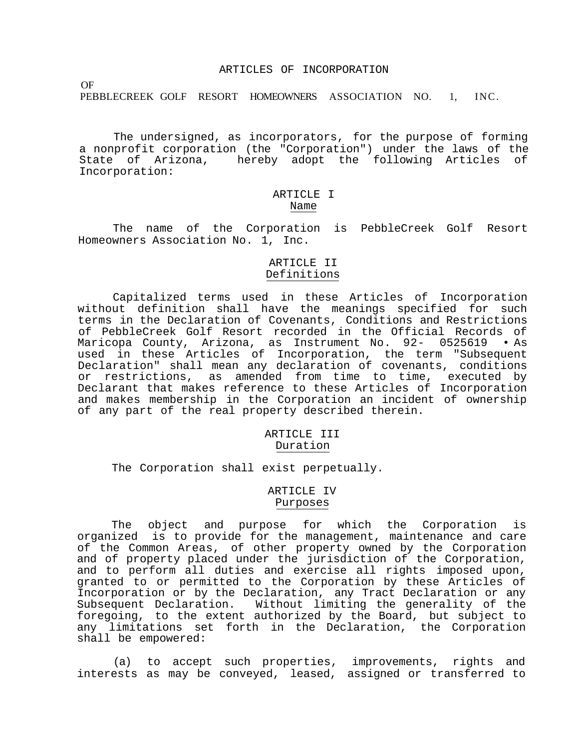### ARTICLES OF INCORPORATION

OF

PEBBLECREEK GOLF RESORT HOMEOWNERS ASSOCIATION NO. 1, INC.

The undersigned, as incorporators, for the purpose of forming a nonprofit corporation (the "Corporation") under the laws of the State of Arizona, hereby adopt the following Articles of Incorporation:

## ARTICLE I Name

The name of the Corporation is PebbleCreek Golf Resort Homeowners Association No. 1, Inc.

## ARTICLE II Definitions

Capitalized terms used in these Articles of Incorporation without definition shall have the meanings specified for such terms in the Declaration of Covenants, Conditions and Restrictions of PebbleCreek Golf Resort recorded in the Official Records of Maricopa County, Arizona, as Instrument No. 92- 0525619 • As used in these Articles of Incorporation, the term "Subsequent Declaration" shall mean any declaration of covenants, conditions or restrictions, as amended from time to time, executed by Declarant that makes reference to these Articles of Incorporation and makes membership in the Corporation an incident of ownership of any part of the real property described therein.

#### ARTICLE III Duration

The Corporation shall exist perpetually.

### ARTICLE IV Purposes

The object and purpose for which the Corporation is organized is to provide for the management, maintenance and care of the Common Areas, of other property owned by the Corporation and of property placed under the jurisdiction of the Corporation, and to perform all duties and exercise all rights imposed upon, granted to or permitted to the Corporation by these Articles of Incorporation or by the Declaration, any Tract Declaration or any Subsequent Declaration. Without limiting the generality of the foregoing, to the extent authorized by the Board, but subject to any limitations set forth in the Declaration, the Corporation shall be empowered:

(a) to accept such properties, improvements, rights and interests as may be conveyed, leased, assigned or transferred to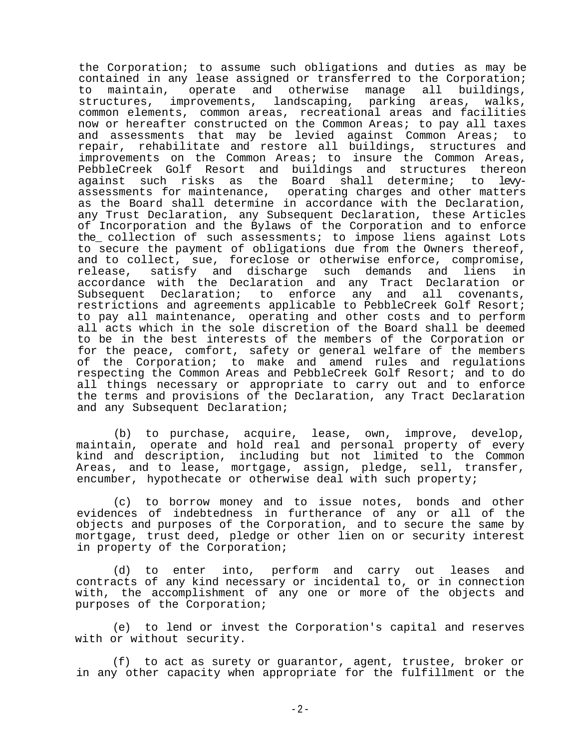the Corporation; to assume such obligations and duties as may be contained in any lease assigned or transferred to the Corporation; to maintain, operate and otherwise manage all buildings, structures, improvements, landscaping, parking areas, walks, common elements, common areas, recreational areas and facilities now or hereafter constructed on the Common Areas; to pay all taxes and assessments that may be levied against Common Areas; to repair, rehabilitate and restore all buildings, structures and improvements on the Common Areas; to insure the Common Areas, PebbleCreek Golf Resort and buildings and structures thereon<br>against such risks as the Board shall determine; to levyas the Board shall determine; to levyassessments for maintenance, operating charges and other matters as the Board shall determine in accordance with the Declaration, any Trust Declaration, any Subsequent Declaration, these Articles of Incorporation and the Bylaws of the Corporation and to enforce the\_ collection of such assessments; to impose liens against Lots to secure the payment of obligations due from the Owners thereof, and to collect, sue, foreclose or otherwise enforce, compromise, release, satisfy and discharge such demands and liens in accordance with the Declaration and any Tract Declaration or Subsequent Declaration; to enforce any and all covenants, restrictions and agreements applicable to PebbleCreek Golf Resort; to pay all maintenance, operating and other costs and to perform all acts which in the sole discretion of the Board shall be deemed to be in the best interests of the members of the Corporation or for the peace, comfort, safety or general welfare of the members of the Corporation; to make and amend rules and regulations respecting the Common Areas and PebbleCreek Golf Resort; and to do all things necessary or appropriate to carry out and to enforce the terms and provisions of the Declaration, any Tract Declaration and any Subsequent Declaration;

(b) to purchase, acquire, lease, own, improve, develop, maintain, operate and hold real and personal property of every kind and description, including but not limited to the Common Areas, and to lease, mortgage, assign, pledge, sell, transfer, encumber, hypothecate or otherwise deal with such property;

(c) to borrow money and to issue notes, bonds and other evidences of indebtedness in furtherance of any or all of the objects and purposes of the Corporation, and to secure the same by mortgage, trust deed, pledge or other lien on or security interest in property of the Corporation;

(d) to enter into, perform and carry out leases and contracts of any kind necessary or incidental to, or in connection with, the accomplishment of any one or more of the objects and purposes of the Corporation;

(e) to lend or invest the Corporation's capital and reserves with or without security.

(f) to act as surety or guarantor, agent, trustee, broker or in any other capacity when appropriate for the fulfillment or the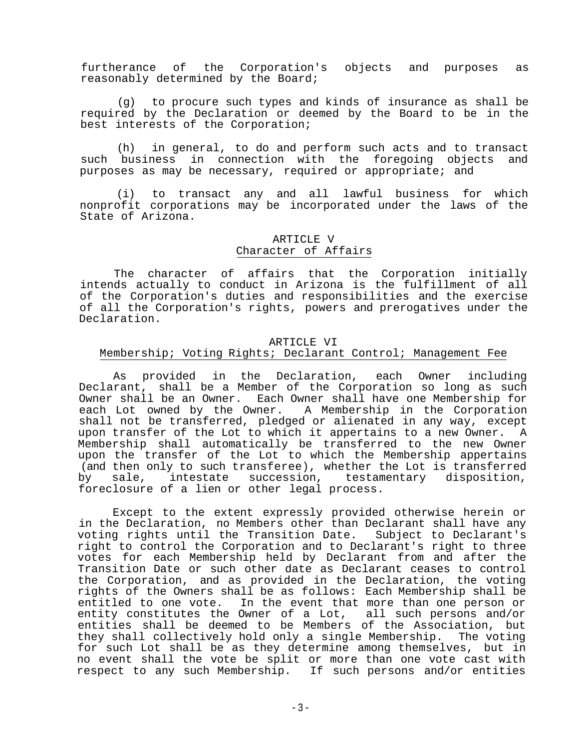furtherance of the Corporation's objects and purposes as reasonably determined by the Board;

(g) to procure such types and kinds of insurance as shall be required by the Declaration or deemed by the Board to be in the best interests of the Corporation;

(h) in general, to do and perform such acts and to transact such business in connection with the foregoing objects and purposes as may be necessary, required or appropriate; and

(i) to transact any and all lawful business for which nonprofit corporations may be incorporated under the laws of the State of Arizona.

# ARTICLE V Character of Affairs

The character of affairs that the Corporation initially intends actually to conduct in Arizona is the fulfillment of all of the Corporation's duties and responsibilities and the exercise of all the Corporation's rights, powers and prerogatives under the Declaration.

#### ARTICLE VI

## Membership; Voting Rights; Declarant Control; Management Fee

As provided in the Declaration, each Owner including Declarant, shall be a Member of the Corporation so long as such Owner shall be an Owner. Each Owner shall have one Membership for each Lot owned by the Owner. A Membership in the Corporation shall not be transferred, pledged or alienated in any way, except upon transfer of the Lot to which it appertains to a new Owner. A Membership shall automatically be transferred to the new Owner upon the transfer of the Lot to which the Membership appertains (and then only to such transferee), whether the Lot is transferred by sale, intestate succession, testamentary disposition, foreclosure of a lien or other legal process.

Except to the extent expressly provided otherwise herein or in the Declaration, no Members other than Declarant shall have any voting rights until the Transition Date. Subject to Declarant's right to control the Corporation and to Declarant's right to three votes for each Membership held by Declarant from and after the Transition Date or such other date as Declarant ceases to control the Corporation, and as provided in the Declaration, the voting rights of the Owners shall be as follows: Each Membership shall be entitled to one vote. In the event that more than one person or entity constitutes the Owner of a Lot, all such persons and/or entities shall be deemed to be Members of the Association, but they shall collectively hold only a single Membership. The voting for such Lot shall be as they determine among themselves, but in no event shall the vote be split or more than one vote cast with respect to any such Membership. If such persons and/or entities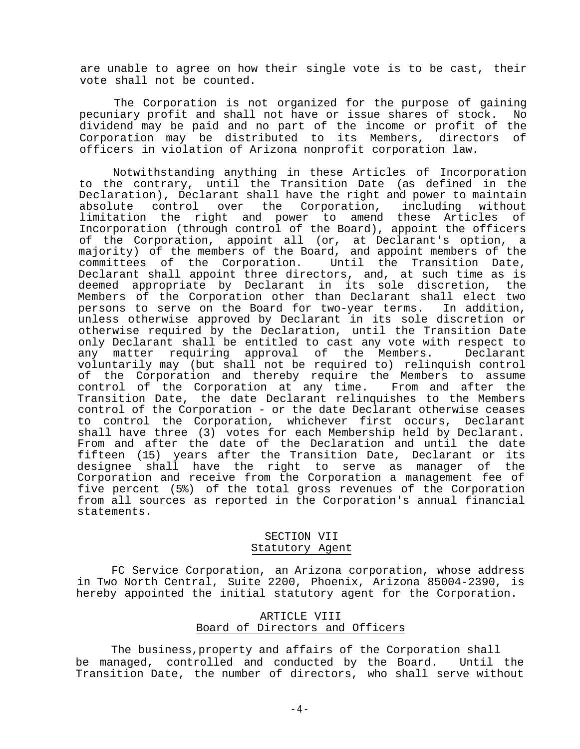are unable to agree on how their single vote is to be cast, their vote shall not be counted.

The Corporation is not organized for the purpose of gaining pecuniary profit and shall not have or issue shares of stock. No dividend may be paid and no part of the income or profit of the Corporation may be distributed to its Members, directors of officers in violation of Arizona nonprofit corporation law.

Notwithstanding anything in these Articles of Incorporation to the contrary, until the Transition Date (as defined in the Declaration), Declarant shall have the right and power to maintain absolute control over the Corporation, including without limitation the right and power to amend these Articles of Incorporation (through control of the Board), appoint the officers of the Corporation, appoint all (or, at Declarant's option, a majority) of the members of the Board, and appoint members of the committees of the Corporation. Until the Transition Date, Declarant shall appoint three directors, and, at such time as is deemed appropriate by Declarant in its sole discretion, the Members of the Corporation other than Declarant shall elect two persons to serve on the Board for two-year terms. In addition, unless otherwise approved by Declarant in its sole discretion or otherwise required by the Declaration, until the Transition Date only Declarant shall be entitled to cast any vote with respect to any matter requiring approval of the Members. Declarant voluntarily may (but shall not be required to) relinquish control of the Corporation and thereby require the Members to assume control of the Corporation at any time. From and after the Transition Date, the date Declarant relinquishes to the Members control of the Corporation - or the date Declarant otherwise ceases to control the Corporation, whichever first occurs, Declarant shall have three (3) votes for each Membership held by Declarant. From and after the date of the Declaration and until the date fifteen (15) years after the Transition Date, Declarant or its designee shall have the right to serve as manager of the Corporation and receive from the Corporation a management fee of five percent (5%) of the total gross revenues of the Corporation from all sources as reported in the Corporation's annual financial statements.

# SECTION VII Statutory Agent

FC Service Corporation, an Arizona corporation, whose address in Two North Central, Suite 2200, Phoenix, Arizona 85004-2390, is hereby appointed the initial statutory agent for the Corporation.

## ARTICLE VIII Board of Directors and Officers

The business,property and affairs of the Corporation shall be managed, controlled and conducted by the Board. Until the Transition Date, the number of directors, who shall serve without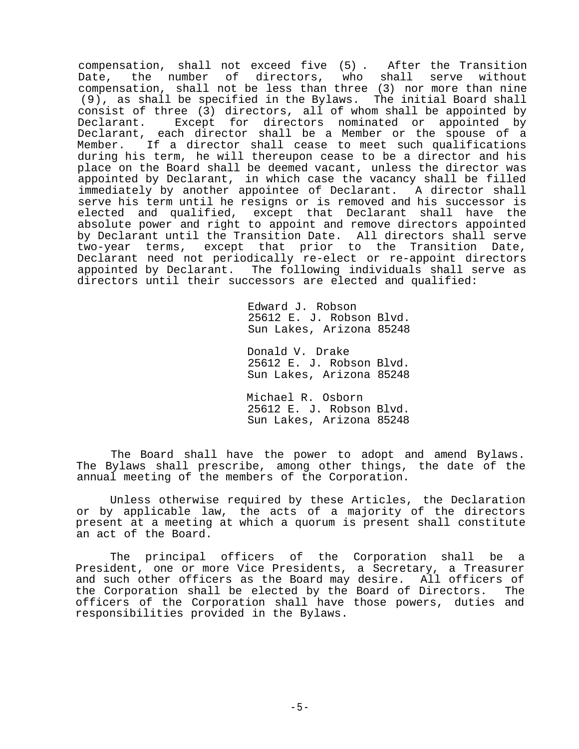compensation, shall not exceed five (5) . After the Transition Date, the number of directors, who shall serve without compensation, shall not be less than three (3) nor more than nine (9), as shall be specified in the Bylaws. The initial Board shall consist of three (3) directors, all of whom shall be appointed by<br>Declarant. Except for directors nominated or appointed by Except for directors nominated or appointed by Declarant, each director shall be a Member or the spouse of a Member. If a director shall cease to meet such qualifications during his term, he will thereupon cease to be a director and his place on the Board shall be deemed vacant, unless the director was appointed by Declarant, in which case the vacancy shall be filled immediately by another appointee of Declarant. A director shall serve his term until he resigns or is removed and his successor is elected and qualified, except that Declarant shall have the absolute power and right to appoint and remove directors appointed by Declarant until the Transition Date. All directors shall serve two-year terms, except that prior to the Transition Date, Declarant need not periodically re-elect or re-appoint directors appointed by Declarant. The following individuals shall serve as directors until their successors are elected and qualified:

> Edward J. Robson 25612 E. J. Robson Blvd. Sun Lakes, Arizona 85248

Donald V. Drake 25612 E. J. Robson Blvd. Sun Lakes, Arizona 85248

Michael R. Osborn 25612 E. J. Robson Blvd. Sun Lakes, Arizona 85248

The Board shall have the power to adopt and amend Bylaws. The Bylaws shall prescribe, among other things, the date of the annual meeting of the members of the Corporation.

Unless otherwise required by these Articles, the Declaration or by applicable law, the acts of a majority of the directors present at a meeting at which a quorum is present shall constitute an act of the Board.

The principal officers of the Corporation shall be a President, one or more Vice Presidents, a Secretary, a Treasurer and such other officers as the Board may desire. All officers of the Corporation shall be elected by the Board of Directors. The officers of the Corporation shall have those powers, duties and responsibilities provided in the Bylaws.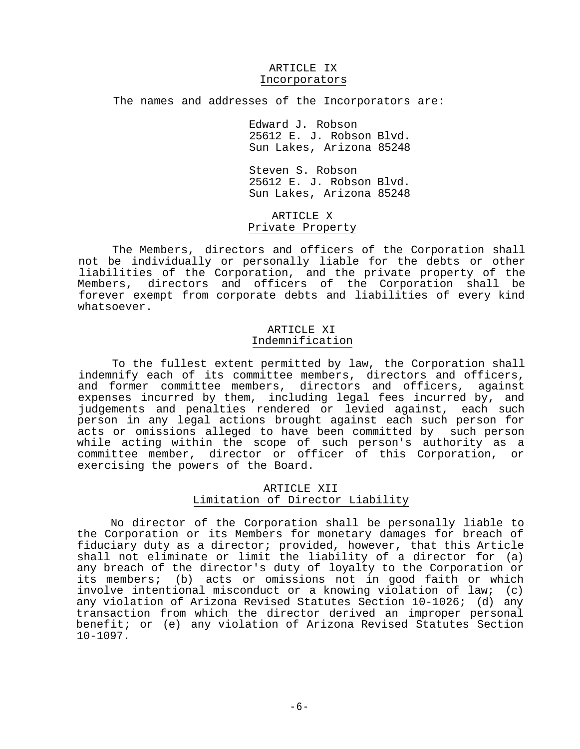#### ARTICLE IX Incorporators

The names and addresses of the Incorporators are:

Edward J. Robson 25612 E. J. Robson Blvd. Sun Lakes, Arizona 85248

Steven S. Robson 25612 E. J. Robson Blvd. Sun Lakes, Arizona 85248

ARTICLE X Private Property

The Members, directors and officers of the Corporation shall not be individually or personally liable for the debts or other liabilities of the Corporation, and the private property of the Members, directors and officers of the Corporation shall be forever exempt from corporate debts and liabilities of every kind whatsoever.

### ARTICLE XI Indemnification

To the fullest extent permitted by law, the Corporation shall indemnify each of its committee members, directors and officers, and former committee members, directors and officers, against expenses incurred by them, including legal fees incurred by, and judgements and penalties rendered or levied against, each such person in any legal actions brought against each such person for acts or omissions alleged to have been committed by such person while acting within the scope of such person's authority as a committee member, director or officer of this Corporation, or exercising the powers of the Board.

# ARTICLE XII Limitation of Director Liability

No director of the Corporation shall be personally liable to the Corporation or its Members for monetary damages for breach of fiduciary duty as a director; provided, however, that this Article shall not eliminate or limit the liability of a director for (a) any breach of the director's duty of loyalty to the Corporation or its members; (b) acts or omissions not in good faith or which involve intentional misconduct or a knowing violation of law; (c) any violation of Arizona Revised Statutes Section 10-1026; (d) any transaction from which the director derived an improper personal benefit; or (e) any violation of Arizona Revised Statutes Section 10-1097.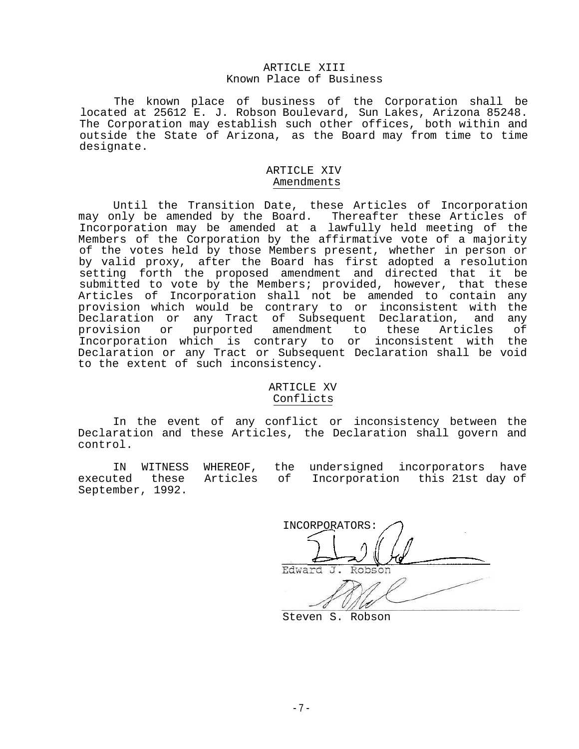### ARTICLE XIII Known Place of Business

The known place of business of the Corporation shall be located at 25612 E. J. Robson Boulevard, Sun Lakes, Arizona 85248. The Corporation may establish such other offices, both within and outside the State of Arizona, as the Board may from time to time designate.

## ARTICLE XIV Amendments

Until the Transition Date, these Articles of Incorporation may only be amended by the Board. Thereafter these Articles of Incorporation may be amended at a lawfully held meeting of the Members of the Corporation by the affirmative vote of a majority of the votes held by those Members present, whether in person or by valid proxy, after the Board has first adopted a resolution setting forth the proposed amendment and directed that it be submitted to vote by the Members; provided, however, that these Articles of Incorporation shall not be amended to contain any provision which would be contrary to or inconsistent with the Declaration or any Tract of Subsequent Declaration, and any<br>provision or purported amendment to these Articles of purported amendment to these Incorporation which is contrary to or inconsistent with the Declaration or any Tract or Subsequent Declaration shall be void to the extent of such inconsistency.

## ARTICLE XV Conflicts

In the event of any conflict or inconsistency between the Declaration and these Articles, the Declaration shall govern and control.

IN WITNESS WHEREOF, the undersigned incorporators have executed these Articles of Incorporation this 21st day of September, 1992.

INCORPORATORS: Edward

Steven S. Robson